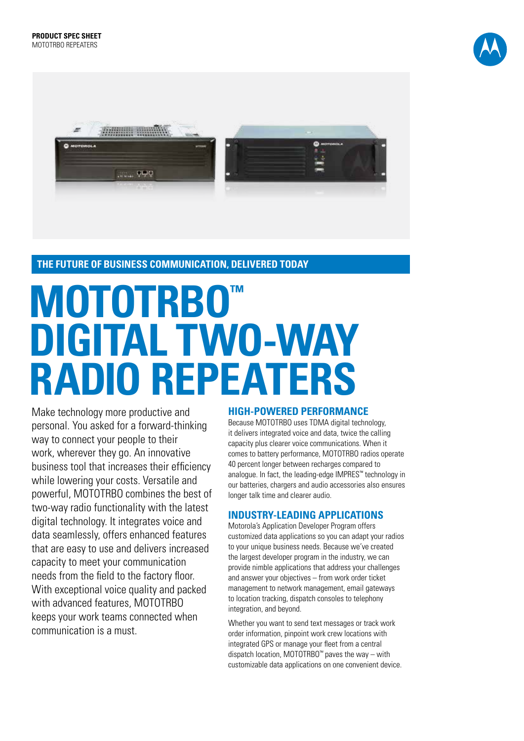



**THE FUTURE OF BUSINESS COMMUNICATION, DELIVERED TODAY**

# **MOTOTRBO™ DIGITAL TWO-WAY RADIO REPEATERS**

Make technology more productive and personal. You asked for a forward-thinking way to connect your people to their work, wherever they go. An innovative business tool that increases their efficiency while lowering your costs. Versatile and powerful, MOTOTRBO combines the best of two-way radio functionality with the latest digital technology. It integrates voice and data seamlessly, offers enhanced features that are easy to use and delivers increased capacity to meet your communication needs from the field to the factory floor. With exceptional voice quality and packed with advanced features, MOTOTRBO keeps your work teams connected when communication is a must.

#### **HIGH-POWERED PERFORMANCE**

Because MOTOTRBO uses TDMA digital technology, it delivers integrated voice and data, twice the calling capacity plus clearer voice communications. When it comes to battery performance, MOTOTRBO radios operate 40 percent longer between recharges compared to analogue. In fact, the leading-edge IMPRES™ technology in our batteries, chargers and audio accessories also ensures longer talk time and clearer audio.

#### **INDUSTRY-LEADING APPLICATIONS**

Motorola's Application Developer Program offers customized data applications so you can adapt your radios to your unique business needs. Because we've created the largest developer program in the industry, we can provide nimble applications that address your challenges and answer your objectives – from work order ticket management to network management, email gateways to location tracking, dispatch consoles to telephony integration, and beyond.

Whether you want to send text messages or track work order information, pinpoint work crew locations with integrated GPS or manage your fleet from a central dispatch location, MOTOTRBO™ paves the way – with customizable data applications on one convenient device.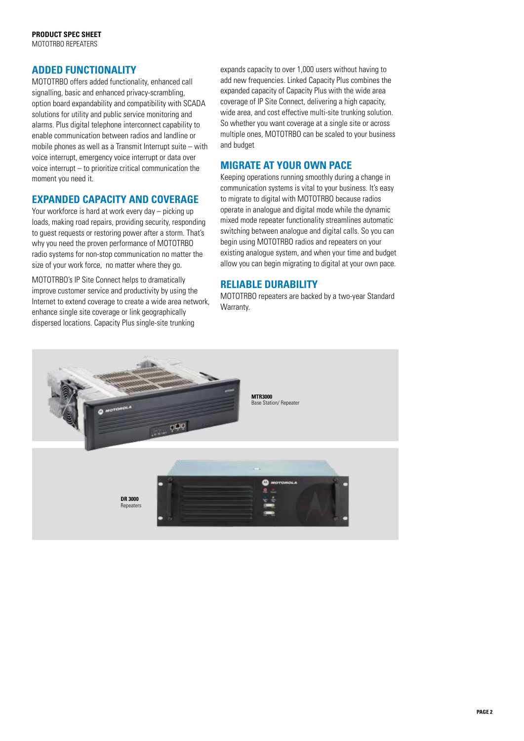### **ADDED FUNCTIONALITY**

MOTOTRBO offers added functionality, enhanced call signalling, basic and enhanced privacy-scrambling, option board expandability and compatibility with SCADA solutions for utility and public service monitoring and alarms. Plus digital telephone interconnect capability to enable communication between radios and landline or mobile phones as well as a Transmit Interrupt suite – with voice interrupt, emergency voice interrupt or data over voice interrupt – to prioritize critical communication the moment you need it.

### **EXPANDED CAPACITY AND COVERAGE**

Your workforce is hard at work every day – picking up loads, making road repairs, providing security, responding to guest requests or restoring power after a storm. That's why you need the proven performance of MOTOTRBO radio systems for non-stop communication no matter the size of your work force, no matter where they go.

MOTOTRBO's IP Site Connect helps to dramatically improve customer service and productivity by using the Internet to extend coverage to create a wide area network, enhance single site coverage or link geographically dispersed locations. Capacity Plus single-site trunking

expands capacity to over 1,000 users without having to add new frequencies. Linked Capacity Plus combines the expanded capacity of Capacity Plus with the wide area coverage of IP Site Connect, delivering a high capacity, wide area, and cost effective multi-site trunking solution. So whether you want coverage at a single site or across multiple ones, MOTOTRBO can be scaled to your business and budget

## **MIGRATE AT YOUR OWN PACE**

Keeping operations running smoothly during a change in communication systems is vital to your business. It's easy to migrate to digital with MOTOTRBO because radios operate in analogue and digital mode while the dynamic mixed mode repeater functionality streamlines automatic switching between analogue and digital calls. So you can begin using MOTOTRBO radios and repeaters on your existing analogue system, and when your time and budget allow you can begin migrating to digital at your own pace.

### **RELIABLE DURABILITY**

MOTOTRBO repeaters are backed by a two-year Standard Warranty.

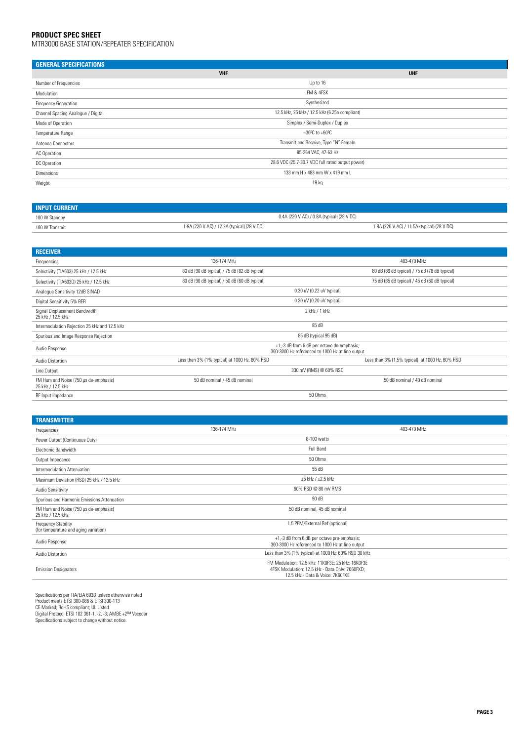#### **PRODUCT SPEC SHEET**

mtr3000 Base station/repeater specification

| <b>GENERAL SPECIFICATIONS</b>      |                                                  |            |
|------------------------------------|--------------------------------------------------|------------|
|                                    | <b>VHF</b>                                       | <b>UHF</b> |
| Number of Frequencies              | Up to 16                                         |            |
| Modulation                         | FM & 4FSK                                        |            |
| Frequency Generation               | Synthesized                                      |            |
| Channel Spacing Analogue / Digital | 12.5 kHz, 25 kHz / 12.5 kHz (6.25e compliant)    |            |
| Mode of Operation                  | Simplex / Semi-Duplex / Duplex                   |            |
| Temperature Range                  | $-30^{\circ}$ C to +60 $^{\circ}$ C              |            |
| Antenna Connectors                 | Transmit and Receive, Type "N" Female            |            |
| AC Operation                       | 85-264 VAC, 47-63 Hz                             |            |
| DC Operation                       | 28.6 VDC (25.7-30.7 VDC full rated output power) |            |
| Dimensions                         | 133 mm H x 483 mm W x 419 mm L                   |            |
| Weight                             | 19 kg                                            |            |
|                                    |                                                  |            |

| <b>INPUT CURRENT</b> |                                                                                            |  |  |
|----------------------|--------------------------------------------------------------------------------------------|--|--|
| 100 W Standby        | 0.4A (220 V AC) / 0.8A (typical) (28 V DC)                                                 |  |  |
| 100 W Transmit       | 1.9A (220 V AC) / 12.2A (typical) (28 V DC)<br>1.8A (220 V AC) / 11.5A (typical) (28 V DC) |  |  |

| <b>RECEIVER</b>                                            |                                                                                                |                                                 |  |
|------------------------------------------------------------|------------------------------------------------------------------------------------------------|-------------------------------------------------|--|
| Frequencies                                                | 136-174 MHz                                                                                    | 403-470 MHz                                     |  |
| Selectivity (TIA603) 25 kHz / 12.5 kHz                     | 80 dB (90 dB typical) / 75 dB (82 dB typical)                                                  | 80 dB (86 dB typical) / 75 dB (78 dB typical)   |  |
| Selectivity (TIA603D) 25 kHz / 12.5 kHz                    | 80 dB (90 dB typical) / 50 dB (60 dB typical)<br>75 dB (85 dB typical) / 45 dB (60 dB typical) |                                                 |  |
| Analogue Sensitivity 12dB SINAD                            | 0.30 uV (0.22 uV typical)                                                                      |                                                 |  |
| Digital Sensitivity 5% BER                                 | 0.30 uV (0.20 uV typical)                                                                      |                                                 |  |
| Signal Displacement Bandwidth<br>25 kHz / 12.5 kHz         | 2 kHz / 1 kHz                                                                                  |                                                 |  |
| Intermodulation Rejection 25 kHz and 12.5 kHz              | 85 dB                                                                                          |                                                 |  |
| Spurious and Image Response Rejection                      | 85 dB (typical 95 dB)                                                                          |                                                 |  |
| Audio Response                                             | +1,-3 dB from 6 dB per octave de-emphasis;<br>300-3000 Hz referenced to 1000 Hz at line output |                                                 |  |
| Audio Distortion                                           | Less than 3% (1% typical) at 1000 Hz, 60% RSD                                                  | Less than 3% (1.5% typical) at 1000 Hz, 60% RSD |  |
| Line Output                                                | 330 mV (RMS) @ 60% RSD                                                                         |                                                 |  |
| FM Hum and Noise (750 µs de-emphasis)<br>25 kHz / 12.5 kHz | 50 dB nominal / 45 dB nominal                                                                  | 50 dB nominal / 40 dB nominal                   |  |
| RF Input Impedance                                         |                                                                                                | 50 Ohms                                         |  |

| <b>TRANSMITTER</b>                                                  |                                                                                                                                          |             |
|---------------------------------------------------------------------|------------------------------------------------------------------------------------------------------------------------------------------|-------------|
| Frequencies                                                         | 136-174 MHz                                                                                                                              | 403-470 MHz |
| Power Output (Continuous Duty)                                      | 8-100 watts                                                                                                                              |             |
| Electronic Bandwidth                                                | Full Band                                                                                                                                |             |
| Output Impedance                                                    | 50 Ohms                                                                                                                                  |             |
| Intermodulation Attenuation                                         | 55 dB                                                                                                                                    |             |
| Maximum Deviation (RSD) 25 kHz / 12.5 kHz                           | $\pm 5$ kHz / $\pm 2.5$ kHz                                                                                                              |             |
| Audio Sensitivity                                                   | 60% RSD @ 80 mV RMS                                                                                                                      |             |
| Spurious and Harmonic Emissions Attenuation                         | 90 dB                                                                                                                                    |             |
| FM Hum and Noise (750 µs de-emphasis)<br>25 kHz / 12.5 kHz          | 50 dB nominal, 45 dB nominal                                                                                                             |             |
| <b>Frequency Stability</b><br>(for temperature and aging variation) | 1.5 PPM/External Ref (optional)                                                                                                          |             |
| Audio Response                                                      | +1,-3 dB from 6 dB per octave pre-emphasis;<br>300-3000 Hz referenced to 1000 Hz at line output                                          |             |
| Audio Distortion                                                    | Less than 3% (1% typical) at 1000 Hz; 60% RSD 30 kHz                                                                                     |             |
| <b>Emission Designators</b>                                         | FM Modulation: 12.5 kHz: 11K0F3E; 25 kHz: 16K0F3E<br>4FSK Modulation: 12.5 kHz - Data Only: 7K60FXD;<br>12.5 kHz - Data & Voice: 7K60FXE |             |

Specifications per TIA/EIA 603D unless otherwise noted<br>Product meets ETSI 300-086 & ETSI 300-113<br>CE Marked; RoHS compliant; UL Listed<br>Digital Protocol ETSI 102 361-1 , -2, -3; AMBE +2™ Vocoder<br>Specifications subject to cha